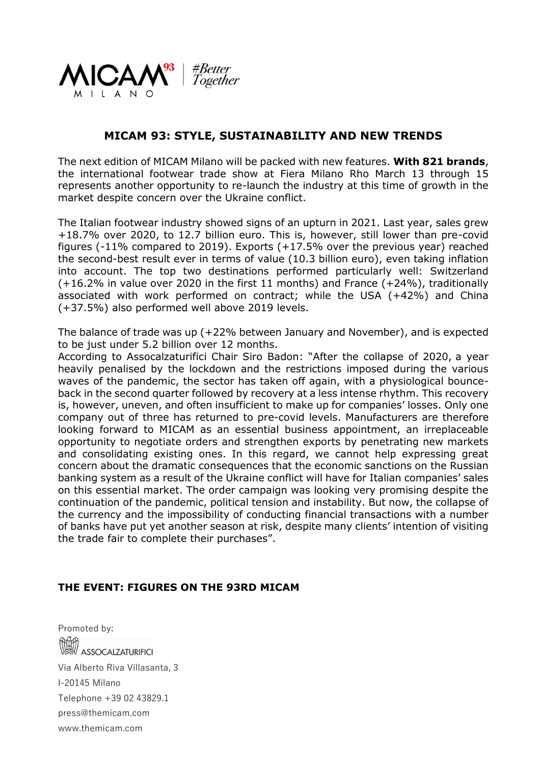

# **MICAM 93: STYLE, SUSTAINABILITY AND NEW TRENDS**

The next edition of MICAM Milano will be packed with new features. **With 821 brands**, the international footwear trade show at Fiera Milano Rho March 13 through 15 represents another opportunity to re-launch the industry at this time of growth in the market despite concern over the Ukraine conflict.

The Italian footwear industry showed signs of an upturn in 2021. Last year, sales grew +18.7% over 2020, to 12.7 billion euro. This is, however, still lower than pre-covid figures (-11% compared to 2019). Exports (+17.5% over the previous year) reached the second-best result ever in terms of value (10.3 billion euro), even taking inflation into account. The top two destinations performed particularly well: Switzerland (+16.2% in value over 2020 in the first 11 months) and France (+24%), traditionally associated with work performed on contract; while the USA (+42%) and China (+37.5%) also performed well above 2019 levels.

The balance of trade was up (+22% between January and November), and is expected to be just under 5.2 billion over 12 months.

According to Assocalzaturifici Chair Siro Badon: "After the collapse of 2020, a year heavily penalised by the lockdown and the restrictions imposed during the various waves of the pandemic, the sector has taken off again, with a physiological bounceback in the second quarter followed by recovery at a less intense rhythm. This recovery is, however, uneven, and often insufficient to make up for companies' losses. Only one company out of three has returned to pre-covid levels. Manufacturers are therefore looking forward to MICAM as an essential business appointment, an irreplaceable opportunity to negotiate orders and strengthen exports by penetrating new markets and consolidating existing ones. In this regard, we cannot help expressing great concern about the dramatic consequences that the economic sanctions on the Russian banking system as a result of the Ukraine conflict will have for Italian companies' sales on this essential market. The order campaign was looking very promising despite the continuation of the pandemic, political tension and instability. But now, the collapse of the currency and the impossibility of conducting financial transactions with a number of banks have put yet another season at risk, despite many clients' intention of visiting the trade fair to complete their purchases".

#### **THE EVENT: FIGURES ON THE 93RD MICAM**

Promoted by: **ASSOCALZATURIFICI** Via Alberto Riva Villasanta, 3 I-20145 Milano Telephone +39 02 43829.1 press@themicam.com www.themicam.com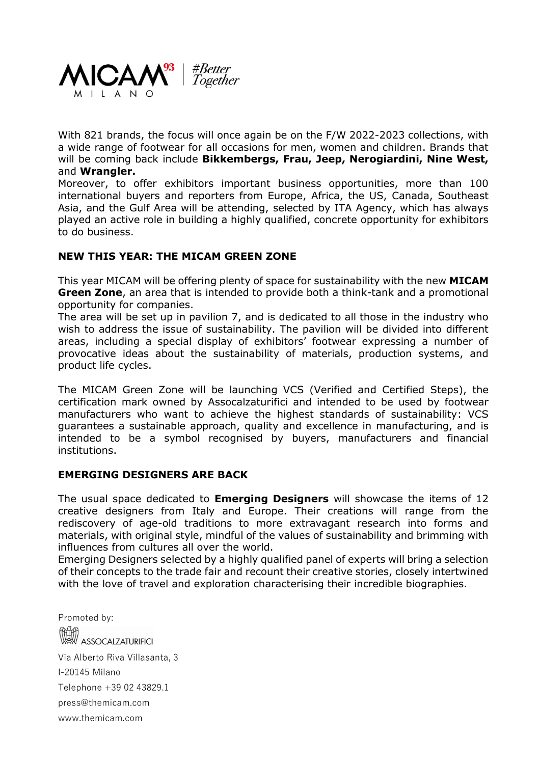

With 821 brands, the focus will once again be on the F/W 2022-2023 collections, with a wide range of footwear for all occasions for men, women and children. Brands that will be coming back include **Bikkembergs, Frau, Jeep, Nerogiardini, Nine West,**  and **Wrangler.**

Moreover, to offer exhibitors important business opportunities, more than 100 international buyers and reporters from Europe, Africa, the US, Canada, Southeast Asia, and the Gulf Area will be attending, selected by ITA Agency, which has always played an active role in building a highly qualified, concrete opportunity for exhibitors to do business.

### **NEW THIS YEAR: THE MICAM GREEN ZONE**

This year MICAM will be offering plenty of space for sustainability with the new **MICAM Green Zone**, an area that is intended to provide both a think-tank and a promotional opportunity for companies.

The area will be set up in pavilion 7, and is dedicated to all those in the industry who wish to address the issue of sustainability. The pavilion will be divided into different areas, including a special display of exhibitors' footwear expressing a number of provocative ideas about the sustainability of materials, production systems, and product life cycles.

The MICAM Green Zone will be launching VCS (Verified and Certified Steps), the certification mark owned by Assocalzaturifici and intended to be used by footwear manufacturers who want to achieve the highest standards of sustainability: VCS guarantees a sustainable approach, quality and excellence in manufacturing, and is intended to be a symbol recognised by buyers, manufacturers and financial institutions.

## **EMERGING DESIGNERS ARE BACK**

The usual space dedicated to **Emerging Designers** will showcase the items of 12 creative designers from Italy and Europe. Their creations will range from the rediscovery of age-old traditions to more extravagant research into forms and materials, with original style, mindful of the values of sustainability and brimming with influences from cultures all over the world.

Emerging Designers selected by a highly qualified panel of experts will bring a selection of their concepts to the trade fair and recount their creative stories, closely intertwined with the love of travel and exploration characterising their incredible biographies.

Promoted by: **ASSOCALZATURIFICI** Via Alberto Riva Villasanta, 3 I-20145 Milano Telephone +39 02 43829.1 press@themicam.com www.themicam.com